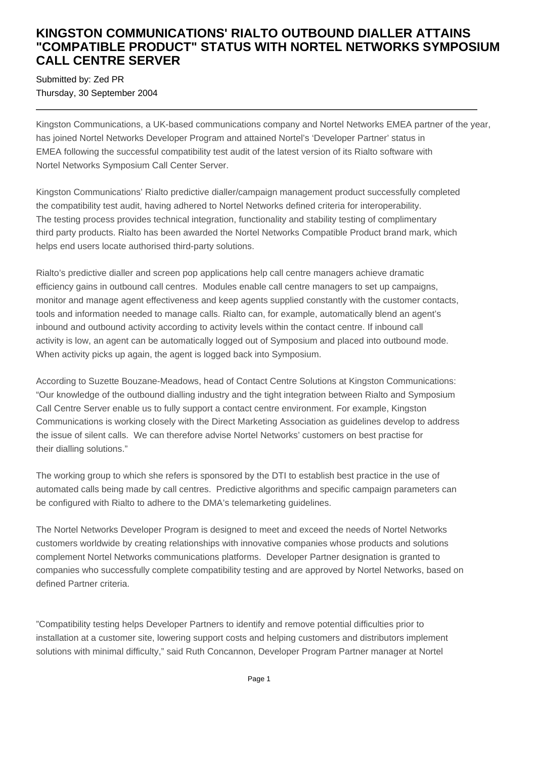## **KINGSTON COMMUNICATIONS' RIALTO OUTBOUND DIALLER ATTAINS "COMPATIBLE PRODUCT" STATUS WITH NORTEL NETWORKS SYMPOSIUM CALL CENTRE SERVER**

Submitted by: Zed PR Thursday, 30 September 2004

Kingston Communications, a UK-based communications company and Nortel Networks EMEA partner of the year, has joined Nortel Networks Developer Program and attained Nortel's 'Developer Partner' status in EMEA following the successful compatibility test audit of the latest version of its Rialto software with Nortel Networks Symposium Call Center Server.

Kingston Communications' Rialto predictive dialler/campaign management product successfully completed the compatibility test audit, having adhered to Nortel Networks defined criteria for interoperability. The testing process provides technical integration, functionality and stability testing of complimentary third party products. Rialto has been awarded the Nortel Networks Compatible Product brand mark, which helps end users locate authorised third-party solutions.

Rialto's predictive dialler and screen pop applications help call centre managers achieve dramatic efficiency gains in outbound call centres. Modules enable call centre managers to set up campaigns, monitor and manage agent effectiveness and keep agents supplied constantly with the customer contacts, tools and information needed to manage calls. Rialto can, for example, automatically blend an agent's inbound and outbound activity according to activity levels within the contact centre. If inbound call activity is low, an agent can be automatically logged out of Symposium and placed into outbound mode. When activity picks up again, the agent is logged back into Symposium.

According to Suzette Bouzane-Meadows, head of Contact Centre Solutions at Kingston Communications: "Our knowledge of the outbound dialling industry and the tight integration between Rialto and Symposium Call Centre Server enable us to fully support a contact centre environment. For example, Kingston Communications is working closely with the Direct Marketing Association as guidelines develop to address the issue of silent calls. We can therefore advise Nortel Networks' customers on best practise for their dialling solutions."

The working group to which she refers is sponsored by the DTI to establish best practice in the use of automated calls being made by call centres. Predictive algorithms and specific campaign parameters can be configured with Rialto to adhere to the DMA's telemarketing guidelines.

The Nortel Networks Developer Program is designed to meet and exceed the needs of Nortel Networks customers worldwide by creating relationships with innovative companies whose products and solutions complement Nortel Networks communications platforms. Developer Partner designation is granted to companies who successfully complete compatibility testing and are approved by Nortel Networks, based on defined Partner criteria.

"Compatibility testing helps Developer Partners to identify and remove potential difficulties prior to installation at a customer site, lowering support costs and helping customers and distributors implement solutions with minimal difficulty," said Ruth Concannon, Developer Program Partner manager at Nortel